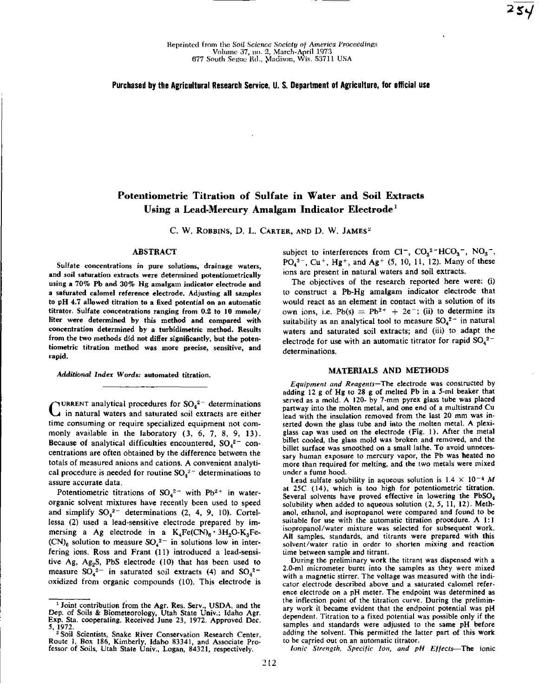### **Purchased by the Agricultural Research Service, U. S. Department of Agriculture, for official use**

# **Potentiometric Titration of Sulfate in Water and Soil Extracts Using a Lead-Mercury Amalgam Indicator Electrode'**

C. W. ROBBINS, D. L. CARTER, AND D. W. JAMES<sup>2</sup>

## ABSTRACT

Sulfate concentrations in pure solutions, drainage waters, and soil saturation extracts were determined potentiometrically using a 70% Pb and 30% Hg amalgam indicator electrode and a saturated calomel reference electrode. Adjusting all samples to pH 4.7 allowed titration to a fixed potential on an automatic titrator. Sulfate concentrations ranging from 0.2 to 10 mmole/ liter were determined by this method and compared with concentration determined by a turbidimetric method. Results from the two methods did not differ significantly, but the potentiometric titration method was more precise, sensitive, and rapid.

*Additional Index Words:* automated titration.

CURRENT analytical procedures for  $SO_4^2$  determinations<br>C in natural waters and saturated soil extracts are either  $\mathbf{u}$  in natural waters and saturated soil extracts are either time consuming or require specialized equipment not commonly available in the laboratory (3, 6, 7, 8, 9, 13). Because of analytical difficulties encountered,  $SO_4^2$  concentrations are often obtained by the difference between the totals of measured anions and cations. A convenient analytical procedure is needed for routine  $SO_4^2$ <sup>-</sup> determinations to assure accurate data.

Potentiometric titrations of  $SO_4^{2-}$  with Pb<sup>2+</sup> in waterorganic solvent mixtures have recently been used to speed and simplify  $SO_4^2$ <sup>-</sup> determinations (2, 4, 9, 10). Cortellessa (2) used a lead-sensitive electrode prepared by immersing a Ag electrode in a  $K_4Fe(CN)_6 \cdot 3H_2O-K_3Fe (CN)$ <sub>6</sub> solution to measure  $SO_4^2$ <sup>-</sup> in solutions low in interfering ions. Ross and Frant (11) introduced a lead-sensitive Ag, Ag<sub>2</sub>S, PbS electrode  $(10)$  that has been used to measure  $SO_4^2$  in saturated soil extracts (4) and  $SO_4^2$ oxidized from organic compounds (10). This electrode is subject to interferences from Cl<sup>-</sup>, CO<sub>3</sub><sup>2</sup>-HCO<sub>3</sub><sup>-</sup>, NO<sub>3</sub><sup>-</sup>, PO<sub>4</sub><sup>3-</sup>, Cu<sup>+</sup>, Hg<sup>+</sup>, and Ag<sup>+</sup> (5, 10, 11, 12). Many of these ions are present in natural waters and soil extracts.

The objectives of the research reported here were: (i) to construct a Pb-Hg amalgam indicator electrode that would react as an element in contact with a solution of its own ions, i.e.  $Pb(s) = Pb^{2+} + 2e^-$ ; (ii) to determine its suitability as an analytical tool to measure  $SO_4^{2-}$  in natural waters and saturated soil extracts; and (iii) to adapt the electrode for use with an automatic titrator for rapid  $SO_4^2$ <sup>-</sup> determinations.

#### **MATERIALS AND METHODS**

*Equipment and Reagents-The* electrode was constructed by adding 12 g of Hg to 28 g of melted Pb in a 5-ml beaker that served as a mold. A 120- by 7-mm pyrex glass tube was placed partway into the molten metal, and one end of a multistrand Cu lead with the insulation removed from the last 20 mm was inserted down the glass tube and into the molten metal. A plexiglass cap was used on the electrode (Fig. 1). After the metal billet cooled, the glass mold was broken and removed, and the billet surface was smoothed on a small lathe. To avoid unnecessary human exposure to mercury vapor, the Pb was heated no more than required for melting, and the two metals were mixed under a fume hood.

Lead sulfate solubility in aqueous solution is  $1.4 \times 10^{-4}$  *M* at 25C (14), which is too high for potentiometric titration. Several solvents have proved effective in lowering the PbSO<sub>4</sub> solubility when added to aqueous solution (2, 5, 11, 12). Methanol, ethanol, and isopropanol were compared and found to be suitable for use with the automatic titration procedure. A 1:1 isopropanol/water mixture was selected for subsequent work. All samples, standards, and titrants were prepared with this solvent/water ratio in order to shorten mixing and reaction time between sample and titrant.

During the preliminary work the titrant was dispensed with a 2.0-ml micrometer buret into the samples as they were mixed with a magnetic stirrer. The voltage was measured with the indicator electrode described above and a saturated calomel reference electrode on a pH meter. The endpoint was determined as the inflection point of the titration curve. During the preliminary work it became evident that the endpoint potential was pH dependent. Titration to a fixed potential was possible only if the samples and standards were adjusted to the same pH before adding the solvent. This permitted the latter part of this work to be carried out on an automatic titrator.

*Ionic Strength, Specific Ion, and pH Effects—The* ionic

<sup>&#</sup>x27;Joint contribution from the Agr. Res. Serv., USDA, and the Dep. of Soils & Biometeorology, Utah State Univ.: Idaho Agr. Exp. Sta. cooperating. Received June 23, 1972. Approved Dec.

<sup>5, 1972.&</sup>lt;br>
<sup>2</sup> Soil Scientists, Snake River Conservation Research Center. Route 1, Box 186, Kimberly, Idaho 83341, and Associate Professor of Soils, Utah State Univ., Logan, 84321, respectively.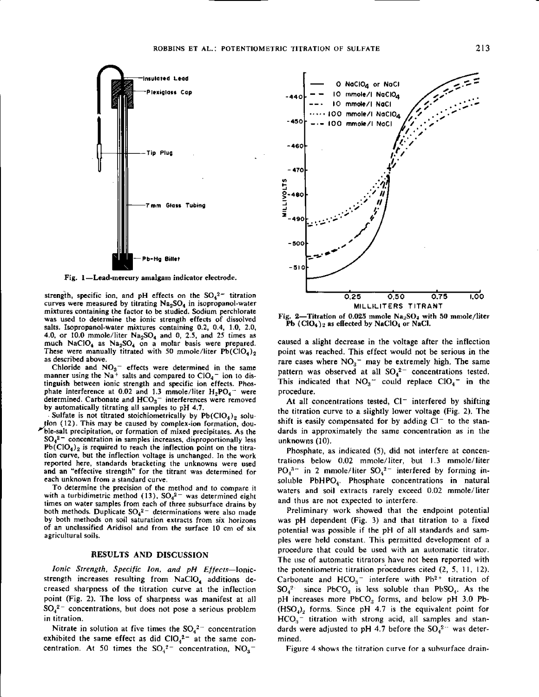

Fig. 1—Lead-mercury amalgam indicator electrode.

strength, specific ion, and pH effects on the  $SO_4^2$ <sup>-</sup> titration curves were measured by titrating  $Na<sub>2</sub>SO<sub>4</sub>$  in isopropanol-water mixtures containing the factor to be studied. Sodium perchlorate was used to determine the ionic strength effects of dissolved salts. Isopropanol-water mixtures containing 0.2, 0.4, 1.0, 2.0, 4.0, or 10.0 mmole/liter  $Na<sub>2</sub>SO<sub>4</sub>$  and 0, 2.5, and 25 times as much NaClO<sub>4</sub> as Na<sub>2</sub>SO<sub>4</sub> on a molar basis were prepared. These were manually titrated with 50 mmole/liter  $Pb(C1O<sub>4</sub>)<sub>2</sub>$ as described above.

Chloride and  $NO<sub>3</sub>$  effects were determined in the same manner using the Na<sup>+</sup> salts and compared to  $ClO<sub>4</sub>$ <sup>-</sup> ion to distinguish between ionic strength and specific ion effects. Phosphate interference at 0.02 and 1.3 mmole/liter  $H_2PO_4$  - were determined. Carbonate and  $HCO<sub>3</sub>$  interferences were removed by automatically titrating all samples to pH 4.7.

Sulfate is not titrated stoichiometrically by  $Pb(CIO<sub>4</sub>)<sub>2</sub>$  solu-/Ion (12). This may be caused by complex-ion formation, double-salt precipitation, or formation of mixed precipitates. As the  $SO_4^2$ <sup>-</sup> concentration in samples increases, disproportionally less  $Pb(CIO<sub>4</sub>)<sub>2</sub>$  is required to reach the inflection point on the titration curve, but the inflection voltage is unchanged. In the work reported here, standards bracketing the unknowns were used and an "effective strength" for the titrant was determined for each unknown from a standard curve.

To determine the precision of the method and to compare it with a turbidimetric method (13),  $SO_4^2$  was determined eight *times* on water samples from each of three subsurface drains by both methods. Duplicate  $SO_4^2$  determinations were also made by both methods on soil saturation extracts from six horizons of an unclassified Aridisol and from the surface 10 cm of six agricultural soils.

#### RESULTS AND DISCUSSION

*Ionic Strength, Specific Ion, and pH Effects—Ionic*strength increases resulting from NaClO<sub>4</sub> additions decreased sharpness of the titration curve at the inflection point (Fig. 2). The loss of sharpness was manifest at all  $SO_4^2$ <sup>-</sup> concentrations, but does not pose a serious problem in titration.

Nitrate in solution at five times the  $SO_4^2$  concentration exhibited the same effect as did  $ClO<sub>4</sub><sup>2-</sup>$  at the same concentration. At 50 times the  $SO_4^2$  concentration,  $NO_3$ 



Fig. 2-Titration of 0.025 mmole Na<sub>2</sub>SO<sub>4</sub> with 50 mmole/liter **Pb (C10**<sup>4</sup> **)** 2 as **effected** by NaC104 or **NaCl.**

caused a slight decrease in the voltage after the inflection point was reached. This effect would not be serious in the rare cases where  $NO<sub>3</sub>$  may be extremely high. The same pattern was observed at all  $SO_4^2$  concentrations tested. This indicated that  $NO<sub>3</sub>$  could replace  $ClO<sub>4</sub>$  in the procedure.

At all concentrations tested,  $Cl^-$  interfered by shifting the titration curve to a slightly lower voltage (Fig. 2). The shift is easily compensated for by adding  $Cl^-$  to the standards in approximately the same concentration as in the unknowns (10).

Phosphate, as indicated (5), did not interfere at concentrations below 0.02 mmole/liter, but 1.3 mmole/liter  $PO<sub>4</sub><sup>3-</sup>$  in 2 mmole/liter  $SO<sub>4</sub><sup>2-</sup>$  interfered by forming insoluble  $PbHPO<sub>4</sub>$ . Phosphate concentrations in natural waters and soil extracts rarely exceed 0.02 mmole/liter and thus are not expected to interfere.

Preliminary work showed that the endpoint potential was pH dependent (Fig. 3) and that titration to a fixed potential was possible if the pH of all standards and samples were held constant. This permitted development of a procedure that could be used with an automatic titrator. The use of automatic titrators have not been reported with the potentiometric titration procedures cited (2, 5, 11, 12). Carbonate and  $HCO<sub>3</sub>$ <sup>-</sup> interfere with Ph<sup>2+</sup> titration of  $SO_4^2$  since PbCO<sub>3</sub> is less soluble than PbSO<sub>4</sub>. As the pH increases more PbCO<sub>3</sub> forms, and below pH 3.0 Pb- $(HSO<sub>4</sub>)<sub>2</sub>$  forms. Since pH 4.7 is the equivalent point for  $HCO<sub>3</sub>$ <sup>-</sup> titration with strong acid, all samples and standards were adjusted to pH 4.7 before the  $SO_4^2$  - was determined.

Figure 4 shows the titration curve for a subsurface drain-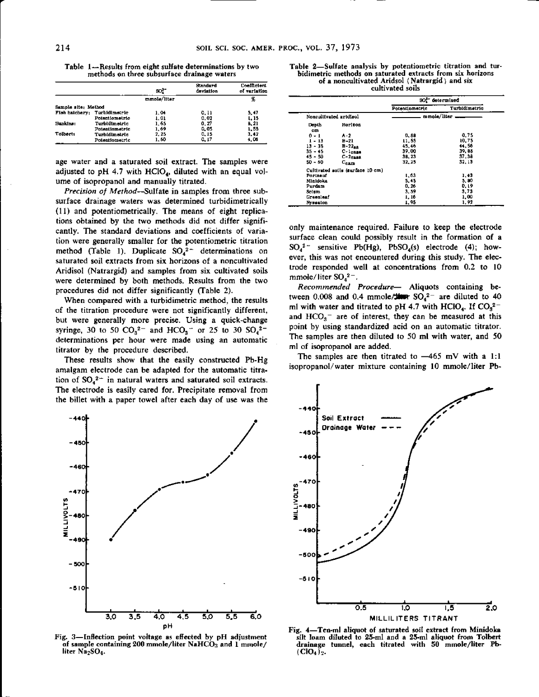Table 1-Results from **eight sulfate determinations** by two methods on three subsurface drainage waters

|                              |                | so?         | Standard<br>deviation | Coefficient<br>of variation |
|------------------------------|----------------|-------------|-----------------------|-----------------------------|
|                              |                | mmole/liter |                       | Ж                           |
| Sample site: Method          |                |             |                       |                             |
| Fish hatchery: Turbidimetric |                | 1.04        | 0.11                  | 5.47                        |
|                              | Potentiometric | 1.01        | 0.02                  | 1, 15                       |
| Hankins:                     | Turbidimetric  | 1.65        | 0.77                  | B.21                        |
|                              | Potentinmetric | 1.69        | 0.05                  | 1.55                        |
| Tolbert <sub>1</sub>         | Turbidimetric  | 2.25        | 0. IS                 | 3.42                        |
|                              | Potentiometric | 1,60        | 0, 17                 | 4.06                        |

age water and a saturated soil extract. The samples were adjusted to pH 4.7 with HClO<sub>4</sub>, diluted with an equal volume of isopropanol and manually titrated.

*Precision of Method-Sulfate in* **samples from** three subsurface drainage waters was determined turbidimetrically (11) and potentiometrically. The means of eight replications obtained by the two methods did not differ significantly. The standard deviations and coefficients of variation were generally smaller for the potentiometric titration method (Table 1). Duplicate  $SO_4^2$ <sup>-</sup> determinations on saturated soil extracts from six horizons of a noncultivated Aridisol (Natrargid) and samples from six cultivated soils were determined by both methods. Results from the two procedures did not differ significantly (Table 2).

When compared with a turbidimetric method, the results of the titration procedure were not significantly different, but were generally more precise. Using a quick-change syringe, 30 to 50  $CO_3^{2-}$  and  $HCO_3^{-}$  or 25 to 30  $SO_4^{2-}$ determinations per hour were made using an automatic titrator by the procedure described.

These results show that the easily constructed Pb-Hg amalgam electrode can be **adapted for** the automatic titration of  $SO_4^2$  in natural waters and saturated soil extracts. The electrode is easily cared for. Precipitate removal from the billet with a paper towel after each day of use was the



|                        |                                  |                | SO <sup>1-</sup> determined |  |
|------------------------|----------------------------------|----------------|-----------------------------|--|
|                        |                                  | Potentiometric | Turbidimetrio               |  |
| Noncultivated aridisol |                                  |                | mmole/liter                 |  |
| Dopth<br>cm.           | Horizon                          |                |                             |  |
| $0 - 1$                | A-2                              | 0.68           | 0.75                        |  |
| $1 - 13$               | $B-21$                           | 11.55          | 10.75                       |  |
| $13 - 35$              | $B - 22BA$                       | 45.46          | 44.56                       |  |
| $3.5 - 4.5$            | $C-1$ paga                       | 39.00          | 39.88                       |  |
| $45 - 50$              | $C-2$ casa                       | 38.23          | 37.38                       |  |
| 50 - 60                | $c_{\rm ram}$                    | 32.25          | 32.13                       |  |
|                        | Cultivated soils (surface 10 cm) |                |                             |  |
| Portneuf               |                                  | 1,63           | 1.43                        |  |
| Minidoka               |                                  | 5.45           | 5.80                        |  |
| Purdam                 |                                  | 0.26           | 0.19                        |  |
| Scism                  |                                  | 3.59           | 3.73                        |  |
| Greenlesf              |                                  | 1, 16          | 1.00                        |  |
| Nysaaton               |                                  | 1.95           | 1.92                        |  |

only maintenance required. Failure to keep the electrode surface clean could possibly result in the formation of a  $SO_4^2$ <sup>2</sup> sensitive Pb(Hg), PbSO<sub>4</sub>(s) electrode (4); however, this was not encountered during this study. The electrode responded well at concentrations from 0.2 to 10 mmole/liter  $SO_4^2$ .

*Recommended Procedure-* Aliquots containing between  $0.008$  and  $0.4$  mmole/ $\frac{1}{2}$  =  $\frac{1}{2}$  are diluted to 40 ml with water and titrated to pH 4.7 with HClO<sub>4</sub>. If  $CO<sub>3</sub><sup>2</sup>$ and  $HCO<sub>3</sub>$  are of interest, they can be measured at this point by using standardized acid on an automatic titrator. **The samples are** then diluted to 50 ml with water, and 50 ml of isopropanol are added.

The samples are then titrated to  $-465$  mV with a 1:1 isopropanol/water mixture containing 10 mmole **/liter Pb-**



Fig. 3-Inflection point voltage as effected by pH adjustment of sample containing 200 **mmole/liter NaHCO**<sup>7</sup> and 1 mmole/ liter Na<sub>2</sub>SO<sub>4</sub>.



**Fig. 4-Ten-ml aliquot of saturated soil extract From Minidoka** silt loam diluted to 25•ml and a 25-m1 aliquot from Tolbert **drainage tunnel,** each **titrated with 50 mmole/liter Fb-**  $(CIO<sub>4</sub>)<sub>2</sub>$ .